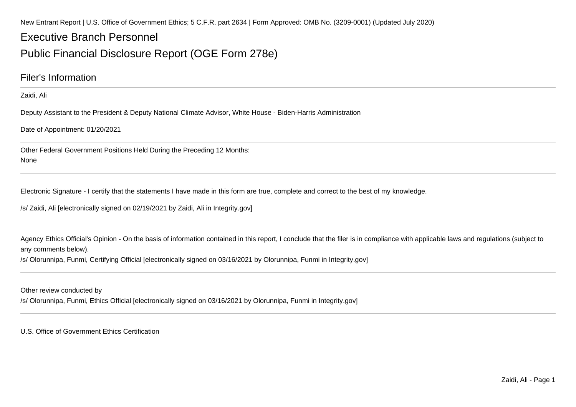New Entrant Report | U.S. Office of Government Ethics; 5 C.F.R. part 2634 | Form Approved: OMB No. (3209-0001) (Updated July 2020)

## Executive Branch Personnel

## Public Financial Disclosure Report (OGE Form 278e)

### Filer's Information

Zaidi, Ali

Deputy Assistant to the President & Deputy National Climate Advisor, White House - Biden-Harris Administration

Date of Appointment: 01/20/2021

Other Federal Government Positions Held During the Preceding 12 Months:None

Electronic Signature - I certify that the statements I have made in this form are true, complete and correct to the best of my knowledge.

/s/ Zaidi, Ali [electronically signed on 02/19/2021 by Zaidi, Ali in Integrity.gov]

Agency Ethics Official's Opinion - On the basis of information contained in this report, I conclude that the filer is in compliance with applicable laws and regulations (subject to any comments below).

/s/ Olorunnipa, Funmi, Certifying Official [electronically signed on 03/16/2021 by Olorunnipa, Funmi in Integrity.gov]

Other review conducted by

/s/ Olorunnipa, Funmi, Ethics Official [electronically signed on 03/16/2021 by Olorunnipa, Funmi in Integrity.gov]

U.S. Office of Government Ethics Certification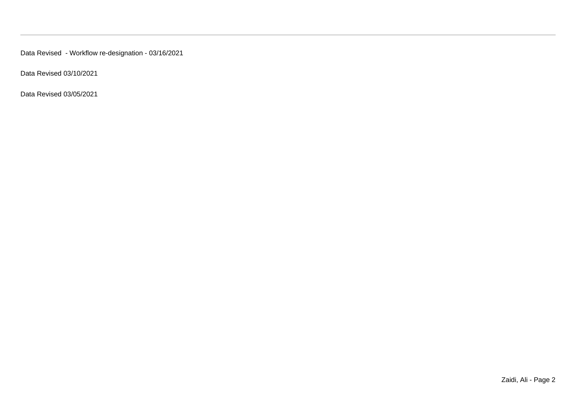Data Revised - Workflow re-designation - 03/16/2021

Data Revised 03/10/2021

Data Revised 03/05/2021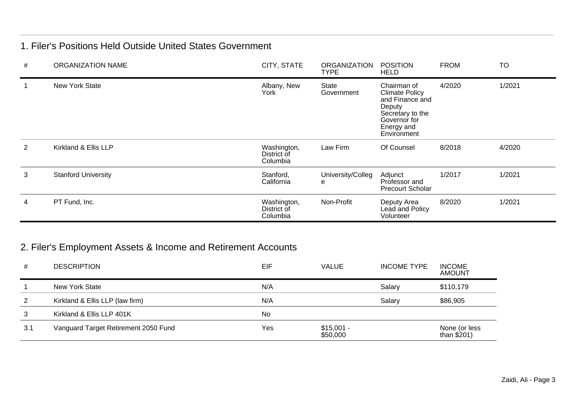### 1. Filer's Positions Held Outside United States Government

| # | <b>ORGANIZATION NAME</b>   | CITY, STATE                            | <b>ORGANIZATION</b><br><b>TYPE</b> | <b>POSITION</b><br><b>HELD</b>                                                                                                     | <b>FROM</b> | <b>TO</b> |
|---|----------------------------|----------------------------------------|------------------------------------|------------------------------------------------------------------------------------------------------------------------------------|-------------|-----------|
|   | <b>New York State</b>      | Albany, New<br>York                    | State<br>Government                | Chairman of<br><b>Climate Policy</b><br>and Finance and<br>Deputy<br>Secretary to the<br>Governor for<br>Energy and<br>Environment | 4/2020      | 1/2021    |
| 2 | Kirkland & Ellis LLP       | Washington,<br>District of<br>Columbia | Law Firm                           | Of Counsel                                                                                                                         | 8/2018      | 4/2020    |
| 3 | <b>Stanford University</b> | Stanford,<br>California                | University/Colleg<br>е             | Adjunct<br>Professor and<br><b>Precourt Scholar</b>                                                                                | 1/2017      | 1/2021    |
| 4 | PT Fund, Inc.              | Washington,<br>District of<br>Columbia | Non-Profit                         | Deputy Area<br>Lead and Policy<br>Volunteer                                                                                        | 8/2020      | 1/2021    |

## 2. Filer's Employment Assets & Income and Retirement Accounts

| #   | <b>DESCRIPTION</b>                   | EIF       | <b>VALUE</b>            | <b>INCOME TYPE</b> | <b>INCOME</b><br><b>AMOUNT</b> |
|-----|--------------------------------------|-----------|-------------------------|--------------------|--------------------------------|
|     | New York State                       | N/A       |                         | Salary             | \$110,179                      |
| 2   | Kirkland & Ellis LLP (law firm)      | N/A       |                         | Salary             | \$86,905                       |
| 3   | Kirkland & Ellis LLP 401K            | <b>No</b> |                         |                    |                                |
| 3.1 | Vanguard Target Retirement 2050 Fund | Yes       | $$15,001 -$<br>\$50,000 |                    | None (or less<br>than $$201)$  |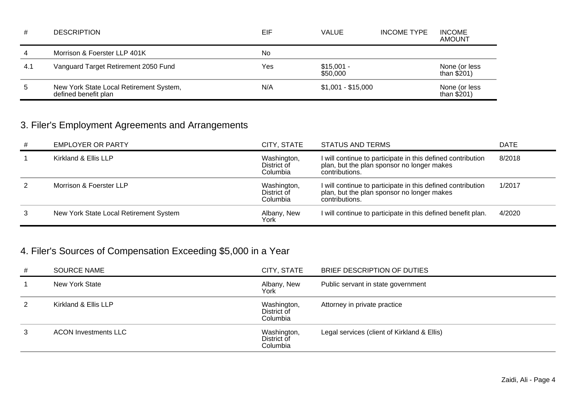| #   | <b>DESCRIPTION</b>                                              | EIF | <b>VALUE</b>            | <b>INCOME TYPE</b> | <b>INCOME</b><br><b>AMOUNT</b> |
|-----|-----------------------------------------------------------------|-----|-------------------------|--------------------|--------------------------------|
| 4   | Morrison & Foerster LLP 401K                                    | No  |                         |                    |                                |
| 4.1 | Vanguard Target Retirement 2050 Fund                            | Yes | $$15,001 -$<br>\$50,000 |                    | None (or less<br>than $$201)$  |
| 5   | New York State Local Retirement System,<br>defined benefit plan | N/A | $$1,001 - $15,000$      |                    | None (or less<br>than $$201)$  |

# 3. Filer's Employment Agreements and Arrangements

| # | <b>EMPLOYER OR PARTY</b>               | CITY, STATE                            | STATUS AND TERMS                                                                                                            | <b>DATE</b> |
|---|----------------------------------------|----------------------------------------|-----------------------------------------------------------------------------------------------------------------------------|-------------|
|   | Kirkland & Ellis LLP                   | Washington,<br>District of<br>Columbia | I will continue to participate in this defined contribution<br>plan, but the plan sponsor no longer makes<br>contributions. | 8/2018      |
|   | Morrison & Foerster LLP                | Washington,<br>District of<br>Columbia | I will continue to participate in this defined contribution<br>plan, but the plan sponsor no longer makes<br>contributions. | 1/2017      |
| 3 | New York State Local Retirement System | Albany, New<br>York                    | I will continue to participate in this defined benefit plan.                                                                | 4/2020      |

# 4. Filer's Sources of Compensation Exceeding \$5,000 in a Year

| # | <b>SOURCE NAME</b>          | CITY, STATE                            | BRIEF DESCRIPTION OF DUTIES                 |
|---|-----------------------------|----------------------------------------|---------------------------------------------|
|   | New York State              | Albany, New<br>York                    | Public servant in state government          |
|   | Kirkland & Ellis LLP        | Washington,<br>District of<br>Columbia | Attorney in private practice                |
| 3 | <b>ACON Investments LLC</b> | Washington,<br>District of<br>Columbia | Legal services (client of Kirkland & Ellis) |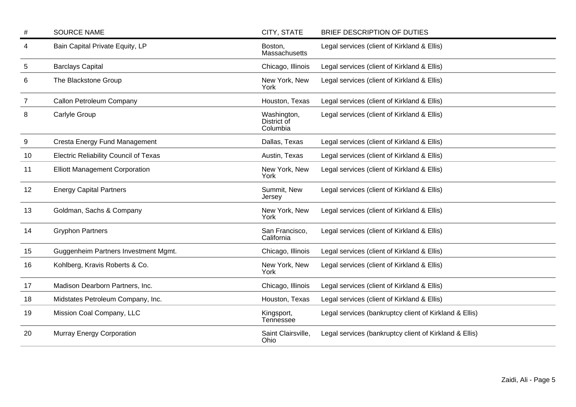| #              | <b>SOURCE NAME</b>                           | CITY, STATE                            | BRIEF DESCRIPTION OF DUTIES                            |
|----------------|----------------------------------------------|----------------------------------------|--------------------------------------------------------|
| 4              | Bain Capital Private Equity, LP              | Boston,<br>Massachusetts               | Legal services (client of Kirkland & Ellis)            |
| 5              | <b>Barclays Capital</b>                      | Chicago, Illinois                      | Legal services (client of Kirkland & Ellis)            |
| 6              | The Blackstone Group                         | New York, New<br>York                  | Legal services (client of Kirkland & Ellis)            |
| $\overline{7}$ | Callon Petroleum Company                     | Houston, Texas                         | Legal services (client of Kirkland & Ellis)            |
| 8              | Carlyle Group                                | Washington,<br>District of<br>Columbia | Legal services (client of Kirkland & Ellis)            |
| 9              | Cresta Energy Fund Management                | Dallas, Texas                          | Legal services (client of Kirkland & Ellis)            |
| 10             | <b>Electric Reliability Council of Texas</b> | Austin, Texas                          | Legal services (client of Kirkland & Ellis)            |
| 11             | <b>Elliott Management Corporation</b>        | New York, New<br>York                  | Legal services (client of Kirkland & Ellis)            |
| 12             | <b>Energy Capital Partners</b>               | Summit, New<br>Jersey                  | Legal services (client of Kirkland & Ellis)            |
| 13             | Goldman, Sachs & Company                     | New York, New<br>York                  | Legal services (client of Kirkland & Ellis)            |
| 14             | <b>Gryphon Partners</b>                      | San Francisco,<br>California           | Legal services (client of Kirkland & Ellis)            |
| 15             | Guggenheim Partners Investment Mgmt.         | Chicago, Illinois                      | Legal services (client of Kirkland & Ellis)            |
| 16             | Kohlberg, Kravis Roberts & Co.               | New York, New<br>York                  | Legal services (client of Kirkland & Ellis)            |
| 17             | Madison Dearborn Partners, Inc.              | Chicago, Illinois                      | Legal services (client of Kirkland & Ellis)            |
| 18             | Midstates Petroleum Company, Inc.            | Houston, Texas                         | Legal services (client of Kirkland & Ellis)            |
| 19             | Mission Coal Company, LLC                    | Kingsport,<br>Tennessee                | Legal services (bankruptcy client of Kirkland & Ellis) |
| 20             | <b>Murray Energy Corporation</b>             | Saint Clairsville,<br>Ohio             | Legal services (bankruptcy client of Kirkland & Ellis) |
|                |                                              |                                        |                                                        |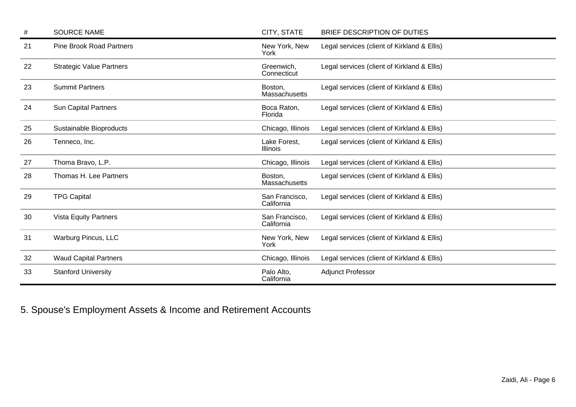| #  | <b>SOURCE NAME</b>              | CITY, STATE                     | BRIEF DESCRIPTION OF DUTIES                 |
|----|---------------------------------|---------------------------------|---------------------------------------------|
| 21 | <b>Pine Brook Road Partners</b> | New York, New<br>York           | Legal services (client of Kirkland & Ellis) |
| 22 | <b>Strategic Value Partners</b> | Greenwich,<br>Connecticut       | Legal services (client of Kirkland & Ellis) |
| 23 | <b>Summit Partners</b>          | Boston,<br>Massachusetts        | Legal services (client of Kirkland & Ellis) |
| 24 | <b>Sun Capital Partners</b>     | Boca Raton,<br>Florida          | Legal services (client of Kirkland & Ellis) |
| 25 | Sustainable Bioproducts         | Chicago, Illinois               | Legal services (client of Kirkland & Ellis) |
| 26 | Tenneco, Inc.                   | Lake Forest,<br><b>Illinois</b> | Legal services (client of Kirkland & Ellis) |
| 27 | Thoma Bravo, L.P.               | Chicago, Illinois               | Legal services (client of Kirkland & Ellis) |
| 28 | Thomas H. Lee Partners          | Boston,<br><b>Massachusetts</b> | Legal services (client of Kirkland & Ellis) |
| 29 | <b>TPG Capital</b>              | San Francisco,<br>California    | Legal services (client of Kirkland & Ellis) |
| 30 | <b>Vista Equity Partners</b>    | San Francisco,<br>California    | Legal services (client of Kirkland & Ellis) |
| 31 | <b>Warburg Pincus, LLC</b>      | New York, New<br>York           | Legal services (client of Kirkland & Ellis) |
| 32 | <b>Waud Capital Partners</b>    | Chicago, Illinois               | Legal services (client of Kirkland & Ellis) |
| 33 | <b>Stanford University</b>      | Palo Alto,<br>California        | <b>Adjunct Professor</b>                    |

5. Spouse's Employment Assets & Income and Retirement Accounts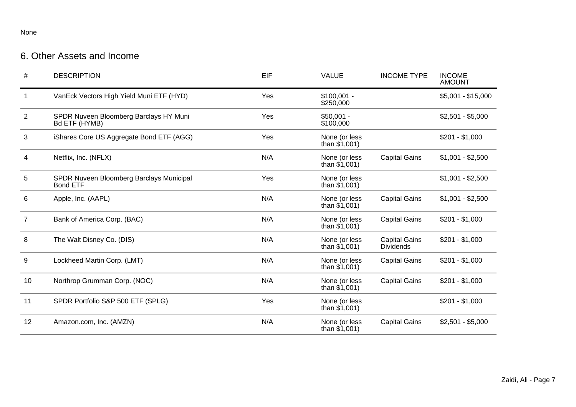### None

## 6. Other Assets and Income

| #              | <b>DESCRIPTION</b>                                          | EIF | <b>VALUE</b>                     | <b>INCOME TYPE</b>                       | <b>INCOME</b><br><b>AMOUNT</b> |
|----------------|-------------------------------------------------------------|-----|----------------------------------|------------------------------------------|--------------------------------|
| $\mathbf 1$    | VanEck Vectors High Yield Muni ETF (HYD)                    | Yes | $$100,001 -$<br>\$250,000        |                                          | $$5,001 - $15,000$             |
| $\overline{2}$ | SPDR Nuveen Bloomberg Barclays HY Muni<br>Bd ETF (HYMB)     | Yes | $$50,001 -$<br>\$100,000         |                                          | $$2,501 - $5,000$              |
| 3              | iShares Core US Aggregate Bond ETF (AGG)                    | Yes | None (or less<br>than $$1,001$ ) |                                          | $$201 - $1,000$                |
| 4              | Netflix, Inc. (NFLX)                                        | N/A | None (or less<br>than $$1,001$ ) | <b>Capital Gains</b>                     | $$1,001 - $2,500$              |
| 5              | SPDR Nuveen Bloomberg Barclays Municipal<br><b>Bond ETF</b> | Yes | None (or less<br>than $$1,001$ ) |                                          | $$1,001 - $2,500$              |
| 6              | Apple, Inc. (AAPL)                                          | N/A | None (or less<br>than $$1,001$ ) | <b>Capital Gains</b>                     | $$1,001 - $2,500$              |
| $\overline{7}$ | Bank of America Corp. (BAC)                                 | N/A | None (or less<br>than $$1,001$ ) | <b>Capital Gains</b>                     | $$201 - $1,000$                |
| 8              | The Walt Disney Co. (DIS)                                   | N/A | None (or less<br>than $$1,001$ ) | <b>Capital Gains</b><br><b>Dividends</b> | $$201 - $1,000$                |
| 9              | Lockheed Martin Corp. (LMT)                                 | N/A | None (or less<br>than $$1,001$ ) | <b>Capital Gains</b>                     | $$201 - $1,000$                |
| 10             | Northrop Grumman Corp. (NOC)                                | N/A | None (or less<br>than $$1,001$ ) | <b>Capital Gains</b>                     | $$201 - $1,000$                |
| 11             | SPDR Portfolio S&P 500 ETF (SPLG)                           | Yes | None (or less<br>than $$1,001$ ) |                                          | $$201 - $1,000$                |
| 12             | Amazon.com, Inc. (AMZN)                                     | N/A | None (or less<br>than $$1,001$ ) | <b>Capital Gains</b>                     | $$2,501 - $5,000$              |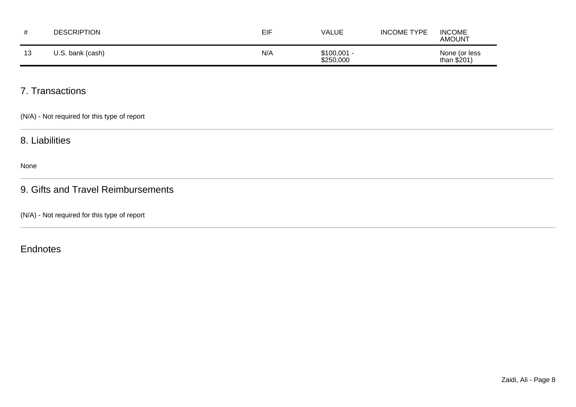|    | <b>DESCRIPTION</b> | EIF | VALUE                     | <b>INCOME TYPE</b> | <b>INCOME</b><br><b>AMOUNT</b> |
|----|--------------------|-----|---------------------------|--------------------|--------------------------------|
| 13 | J.S. bank (cash)   | N/A | $$100,001 -$<br>\$250,000 |                    | None (or less<br>than $$201$ ) |

## 7. Transactions

(N/A) - Not required for this type of report

### 8. Liabilities

None

### 9. Gifts and Travel Reimbursements

(N/A) - Not required for this type of report

### **Endnotes**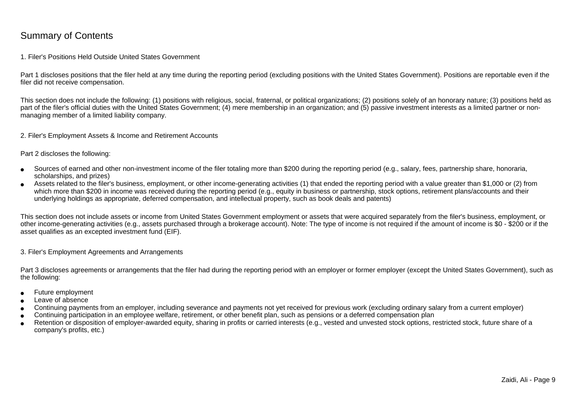### Summary of Contents

### 1. Filer's Positions Held Outside United States Government

Part 1 discloses positions that the filer held at any time during the reporting period (excluding positions with the United States Government). Positions are reportable even if the filer did not receive compensation.

This section does not include the following: (1) positions with religious, social, fraternal, or political organizations; (2) positions solely of an honorary nature; (3) positions held aspart of the filer's official duties with the United States Government; (4) mere membership in an organization; and (5) passive investment interests as a limited partner or nonmanaging member of a limited liability company.

2. Filer's Employment Assets & Income and Retirement Accounts

Part 2 discloses the following:

- ●Sources of earned and other non-investment income of the filer totaling more than \$200 during the reporting period (e.g., salary, fees, partnership share, honoraria,scholarships, and prizes)
- ● Assets related to the filer's business, employment, or other income-generating activities (1) that ended the reporting period with a value greater than \$1,000 or (2) fromwhich more than \$200 in income was received during the reporting period (e.g., equity in business or partnership, stock options, retirement plans/accounts and their underlying holdings as appropriate, deferred compensation, and intellectual property, such as book deals and patents)

This section does not include assets or income from United States Government employment or assets that were acquired separately from the filer's business, employment, or other income-generating activities (e.g., assets purchased through a brokerage account). Note: The type of income is not required if the amount of income is \$0 - \$200 or if theasset qualifies as an excepted investment fund (EIF).

3. Filer's Employment Agreements and Arrangements

Part 3 discloses agreements or arrangements that the filer had during the reporting period with an employer or former employer (except the United States Government), such as the following:

- ●Future employment
- ●Leave of absence
- ●Continuing payments from an employer, including severance and payments not yet received for previous work (excluding ordinary salary from a current employer)
- ●Continuing participation in an employee welfare, retirement, or other benefit plan, such as pensions or a deferred compensation plan
- ● Retention or disposition of employer-awarded equity, sharing in profits or carried interests (e.g., vested and unvested stock options, restricted stock, future share of acompany's profits, etc.)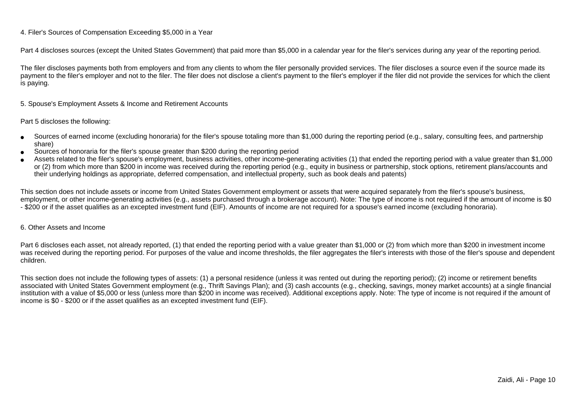### 4. Filer's Sources of Compensation Exceeding \$5,000 in a Year

Part 4 discloses sources (except the United States Government) that paid more than \$5,000 in a calendar year for the filer's services during any year of the reporting period.

The filer discloses payments both from employers and from any clients to whom the filer personally provided services. The filer discloses a source even if the source made itspayment to the filer's employer and not to the filer. The filer does not disclose a client's payment to the filer's employer if the filer did not provide the services for which the client is paying.

5. Spouse's Employment Assets & Income and Retirement Accounts

#### Part 5 discloses the following:

- ●Sources of earned income (excluding honoraria) for the filer's spouse totaling more than \$1,000 during the reporting period (e.g., salary, consulting fees, and partnershipshare)
- ●Sources of honoraria for the filer's spouse greater than \$200 during the reporting period
- ● Assets related to the filer's spouse's employment, business activities, other income-generating activities (1) that ended the reporting period with a value greater than \$1,000or (2) from which more than \$200 in income was received during the reporting period (e.g., equity in business or partnership, stock options, retirement plans/accounts and their underlying holdings as appropriate, deferred compensation, and intellectual property, such as book deals and patents)

This section does not include assets or income from United States Government employment or assets that were acquired separately from the filer's spouse's business,employment, or other income-generating activities (e.g., assets purchased through a brokerage account). Note: The type of income is not required if the amount of income is \$0 - \$200 or if the asset qualifies as an excepted investment fund (EIF). Amounts of income are not required for a spouse's earned income (excluding honoraria).

### 6. Other Assets and Income

Part 6 discloses each asset, not already reported, (1) that ended the reporting period with a value greater than \$1,000 or (2) from which more than \$200 in investment income was received during the reporting period. For purposes of the value and income thresholds, the filer aggregates the filer's interests with those of the filer's spouse and dependentchildren.

This section does not include the following types of assets: (1) a personal residence (unless it was rented out during the reporting period); (2) income or retirement benefits associated with United States Government employment (e.g., Thrift Savings Plan); and (3) cash accounts (e.g., checking, savings, money market accounts) at a single financial institution with a value of \$5,000 or less (unless more than \$200 in income was received). Additional exceptions apply. Note: The type of income is not required if the amount ofincome is \$0 - \$200 or if the asset qualifies as an excepted investment fund (EIF).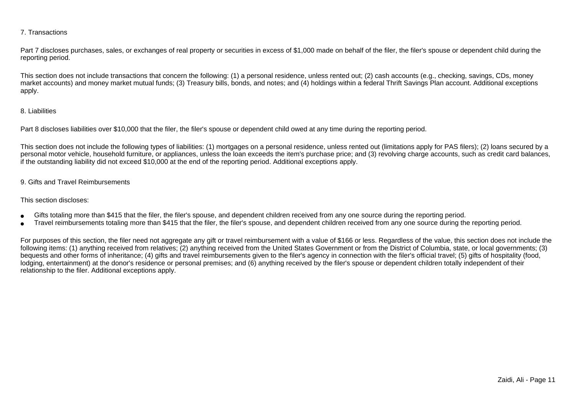### 7. Transactions

Part 7 discloses purchases, sales, or exchanges of real property or securities in excess of \$1,000 made on behalf of the filer, the filer's spouse or dependent child during the reporting period.

This section does not include transactions that concern the following: (1) a personal residence, unless rented out; (2) cash accounts (e.g., checking, savings, CDs, money market accounts) and money market mutual funds; (3) Treasury bills, bonds, and notes; and (4) holdings within a federal Thrift Savings Plan account. Additional exceptionsapply.

### 8. Liabilities

Part 8 discloses liabilities over \$10,000 that the filer, the filer's spouse or dependent child owed at any time during the reporting period.

This section does not include the following types of liabilities: (1) mortgages on a personal residence, unless rented out (limitations apply for PAS filers); (2) loans secured by a personal motor vehicle, household furniture, or appliances, unless the loan exceeds the item's purchase price; and (3) revolving charge accounts, such as credit card balances,if the outstanding liability did not exceed \$10,000 at the end of the reporting period. Additional exceptions apply.

### 9. Gifts and Travel Reimbursements

#### This section discloses:

- ●Gifts totaling more than \$415 that the filer, the filer's spouse, and dependent children received from any one source during the reporting period.
- ●Travel reimbursements totaling more than \$415 that the filer, the filer's spouse, and dependent children received from any one source during the reporting period.

For purposes of this section, the filer need not aggregate any gift or travel reimbursement with a value of \$166 or less. Regardless of the value, this section does not include the following items: (1) anything received from relatives; (2) anything received from the United States Government or from the District of Columbia, state, or local governments; (3)bequests and other forms of inheritance; (4) gifts and travel reimbursements given to the filer's agency in connection with the filer's official travel; (5) gifts of hospitality (food,lodging, entertainment) at the donor's residence or personal premises; and (6) anything received by the filer's spouse or dependent children totally independent of theirrelationship to the filer. Additional exceptions apply.